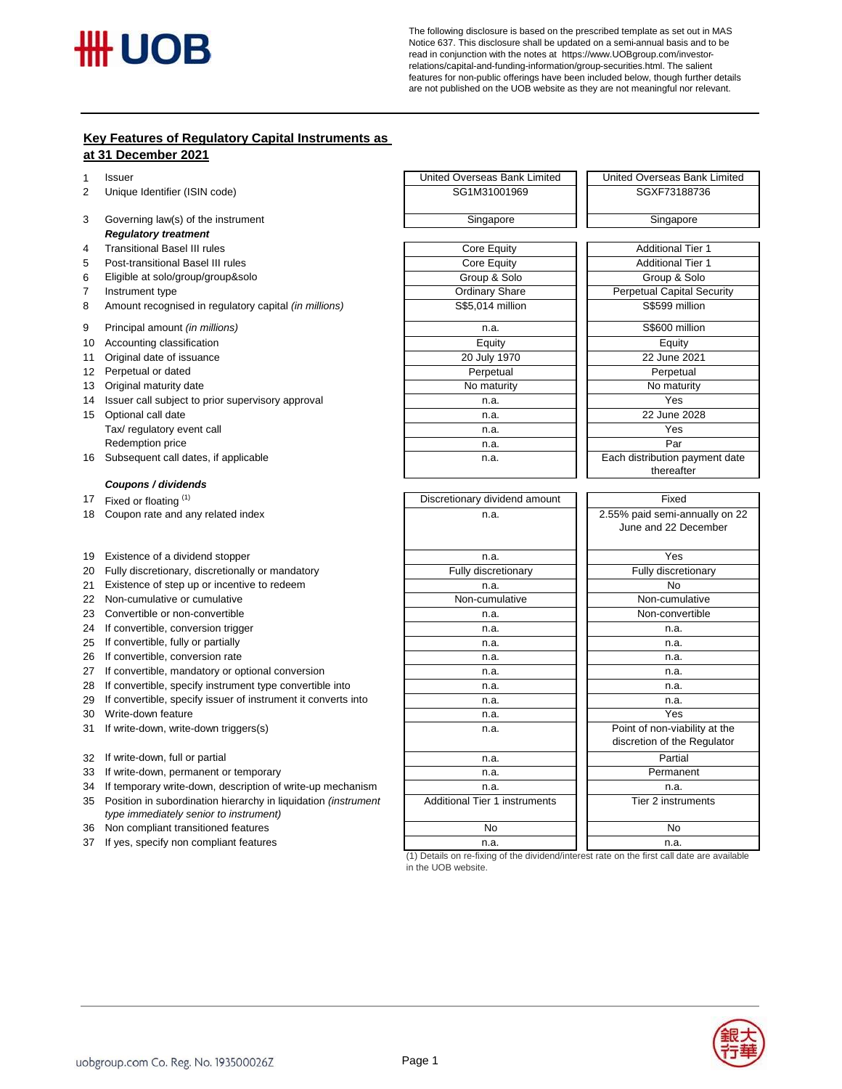

The following disclosure is based on the prescribed template as set out in MAS Notice 637. This disclosure shall be updated on a semi-annual basis and to be read in conjunction with the notes at https://www.UOBgroup.com/investorrelations/capital-and-funding-information/group-securities.html. The salient features for non-public offerings have been included below, though further details are not published on the UOB website as they are not meaningful nor relevant.

## **Key Features of Regulatory Capital Instruments as at 31 December 2021**

| 1  | <b>Issuer</b>                                                                                            | United Overseas Bank Limited         | United Overseas Bank Limited                                 |
|----|----------------------------------------------------------------------------------------------------------|--------------------------------------|--------------------------------------------------------------|
| 2  | Unique Identifier (ISIN code)                                                                            | SG1M31001969                         | SGXF73188736                                                 |
| 3  | Governing law(s) of the instrument                                                                       | Singapore                            | Singapore                                                    |
|    | <b>Regulatory treatment</b>                                                                              |                                      |                                                              |
| 4  | <b>Transitional Basel III rules</b>                                                                      | Core Equity                          | <b>Additional Tier 1</b>                                     |
| 5  | Post-transitional Basel III rules                                                                        | Core Equity                          | <b>Additional Tier 1</b>                                     |
| 6  | Eligible at solo/group/group&solo                                                                        | Group & Solo                         | Group & Solo                                                 |
| 7  | Instrument type                                                                                          | <b>Ordinary Share</b>                | Perpetual Capital Security                                   |
| 8  | Amount recognised in regulatory capital (in millions)                                                    | S\$5,014 million                     | S\$599 million                                               |
| 9  | Principal amount (in millions)                                                                           | n.a.                                 | S\$600 million                                               |
| 10 | Accounting classification                                                                                | Equity                               | Equity                                                       |
| 11 | Original date of issuance                                                                                | 20 July 1970                         | 22 June 2021                                                 |
|    | 12 Perpetual or dated                                                                                    | Perpetual                            | Perpetual                                                    |
| 13 | Original maturity date                                                                                   | No maturity                          | No maturity                                                  |
|    | 14 Issuer call subject to prior supervisory approval                                                     | n.a.                                 | Yes                                                          |
| 15 | Optional call date                                                                                       | n.a.                                 | 22 June 2028                                                 |
|    | Tax/ regulatory event call                                                                               | n.a.                                 | Yes                                                          |
|    | Redemption price                                                                                         | n.a.                                 | Par                                                          |
|    | 16 Subsequent call dates, if applicable                                                                  | n.a.                                 | Each distribution payment date<br>thereafter                 |
|    | Coupons / dividends                                                                                      |                                      |                                                              |
| 17 | Fixed or floating (1)                                                                                    | Discretionary dividend amount        | Fixed                                                        |
| 18 | Coupon rate and any related index                                                                        | n.a.                                 | 2.55% paid semi-annually on 22<br>June and 22 December       |
|    | 19 Existence of a dividend stopper                                                                       | n.a.                                 | Yes                                                          |
| 20 | Fully discretionary, discretionally or mandatory                                                         | Fully discretionary                  | Fully discretionary                                          |
| 21 | Existence of step up or incentive to redeem                                                              | n.a.                                 | <b>No</b>                                                    |
|    | 22 Non-cumulative or cumulative                                                                          | Non-cumulative                       | Non-cumulative                                               |
| 23 | Convertible or non-convertible                                                                           | n.a.                                 | Non-convertible                                              |
|    | 24 If convertible, conversion trigger                                                                    | n.a.                                 | n.a.                                                         |
|    | 25 If convertible, fully or partially                                                                    | n.a.                                 | n.a.                                                         |
|    | 26 If convertible, conversion rate                                                                       | n.a.                                 | n.a.                                                         |
|    | 27 If convertible, mandatory or optional conversion                                                      | n.a.                                 | n.a.                                                         |
|    | 28 If convertible, specify instrument type convertible into                                              | n.a.                                 | n.a.                                                         |
| 29 | If convertible, specify issuer of instrument it converts into                                            | n.a.                                 | n.a.                                                         |
| 30 | Write-down feature                                                                                       | n.a.                                 | Yes                                                          |
| 31 | If write-down, write-down triggers(s)                                                                    | n.a.                                 | Point of non-viability at the<br>discretion of the Regulator |
|    | 32 If write-down, full or partial                                                                        | n.a.                                 | Partial                                                      |
|    | 33 If write-down, permanent or temporary                                                                 | n.a.                                 | Permanent                                                    |
| 34 | If temporary write-down, description of write-up mechanism                                               | n.a.                                 | n.a.                                                         |
| 35 | Position in subordination hierarchy in liquidation (instrument<br>type immediately senior to instrument) | <b>Additional Tier 1 instruments</b> | Tier 2 instruments                                           |
| 36 | Non compliant transitioned features                                                                      | No                                   | No                                                           |
|    |                                                                                                          |                                      |                                                              |

If yes, specify non compliant features n.a. n.a.

(1) Details on re-fixing of the dividend/interest rate on the first call date are available in the UOB website.

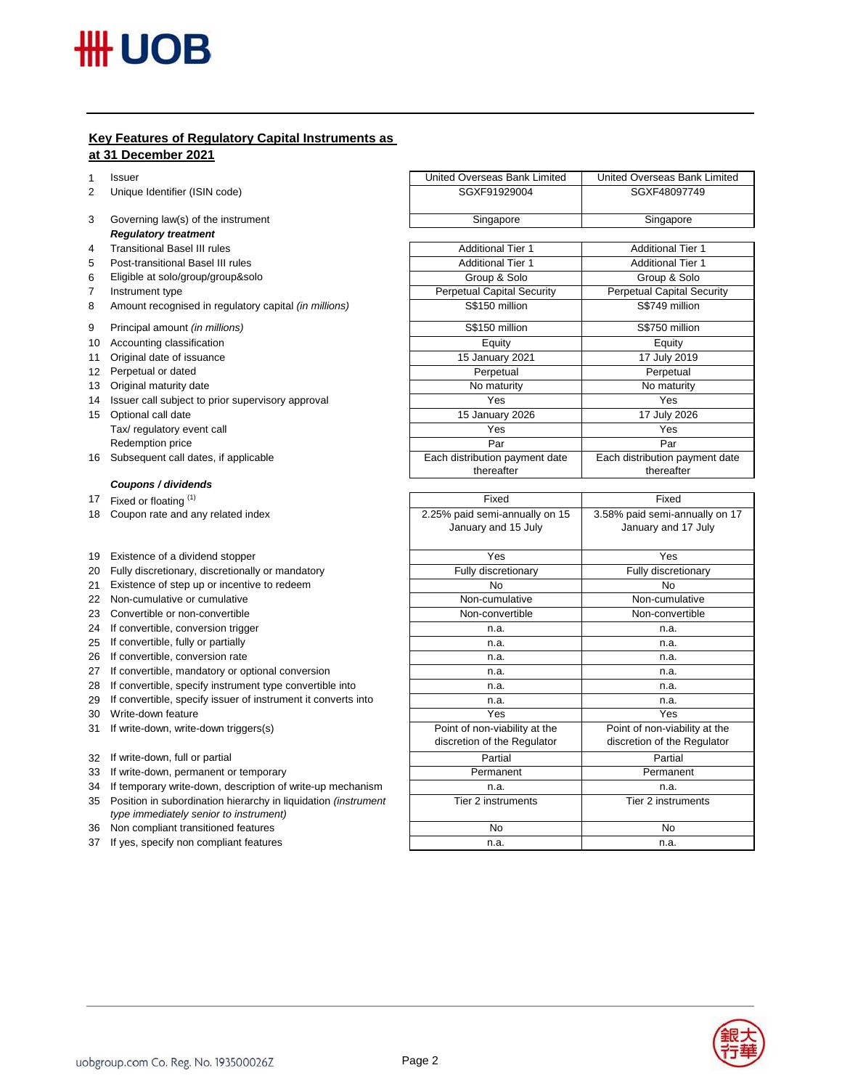## **Key Features of Regulatory Capital Instruments as at 31 December 2021**

1 Issuer

- 2 Unique Identifier (ISIN code)
- 3 Governing law(s) of the instrument *Regulatory treatment*
- 4 Transitional Basel III rules
- 5 Post-transitional Basel III rules
- 6 Eligible at solo/group/group&solo
- 7 Instrument type
- 8 Amount recognised in regulatory capital *(in millions)*
- 9 Principal amount *(in millions)*
- 10 Accounting classification
- 11 Original date of issuance
- 12 Perpetual or dated
- 13 Original maturity date
- 14 Issuer call subject to prior supervisory approval
- 15 Optional call date Tax/ regulatory event call Redemption price
- 16 Subsequent call dates, if applicable

## *Coupons / dividends*

- 18 Coupon rate and any related index
- 19 Existence of a dividend stopper
- 20 Fully discretionary, discretionally or mandatory
- 21 Existence of step up or incentive to redeem
- 22 Non-cumulative or cumulative
- 23 Convertible or non-convertible
- 24 If convertible, conversion trigger
- 25 If convertible, fully or partially
- 26 If convertible, conversion rate
- 27 If convertible, mandatory or optional conversion
- 28 If convertible, specify instrument type convertible into
- 29 If convertible, specify issuer of instrument it converts into
- 30 Write-down feature
- 31 If write-down, write-down triggers(s)
- 32 If write-down, full or partial
- 33 If write-down, permanent or temporary
- 34 If temporary write-down, description of write-up mechanism
- 35 Position in subordination hierarchy in liquidation *(instrument type immediately senior to instrument)*
- 36 Non compliant transitioned features
- 37 If yes, specify non compliant features

| United Overseas Bank Limited      | United Overseas Bank Limited      |  |
|-----------------------------------|-----------------------------------|--|
| SGXF91929004                      | SGXF48097749                      |  |
|                                   |                                   |  |
| Singapore                         | Singapore                         |  |
|                                   |                                   |  |
| <b>Additional Tier 1</b>          | <b>Additional Tier 1</b>          |  |
| <b>Additional Tier 1</b>          | <b>Additional Tier 1</b>          |  |
| Group & Solo                      | Group & Solo                      |  |
| <b>Perpetual Capital Security</b> | <b>Perpetual Capital Security</b> |  |
| S\$150 million                    | S\$749 million                    |  |
| S\$150 million                    | S\$750 million                    |  |
| Equity                            | Equity                            |  |
| 15 January 2021                   | 17 July 2019                      |  |
| Perpetual                         | Perpetual                         |  |
| No maturity                       | No maturity                       |  |
| Yes                               | Yes                               |  |
| 15 January 2026                   | 17 July 2026                      |  |
| Yes                               | Yes                               |  |
| Par                               | Par                               |  |
| Each distribution payment date    | Each distribution payment date    |  |
| thereafter                        | thereafter                        |  |
|                                   |                                   |  |

| Fixed                          | Fixed                          |
|--------------------------------|--------------------------------|
| 2.25% paid semi-annually on 15 | 3.58% paid semi-annually on 17 |
| January and 15 July            | January and 17 July            |
|                                |                                |
| Yes                            | Yes                            |
| Fully discretionary            | Fully discretionary            |
| No                             | No                             |
| Non-cumulative                 | Non-cumulative                 |
| Non-convertible                | Non-convertible                |
| n.a.                           | n.a.                           |
| n.a.                           | n.a.                           |
| n.a.                           | n.a.                           |
| n.a.                           | n.a.                           |
| n.a.                           | n.a.                           |
| n.a.                           | n.a.                           |
| Yes                            | Yes                            |
| Point of non-viability at the  | Point of non-viability at the  |
| discretion of the Regulator    | discretion of the Regulator    |
| Partial                        | Partial                        |
| Permanent                      | Permanent                      |
| n.a.                           | n.a.                           |
| Tier 2 instruments             | Tier 2 instruments             |
|                                |                                |
| No                             | No                             |
| n.a.                           | n.a.                           |

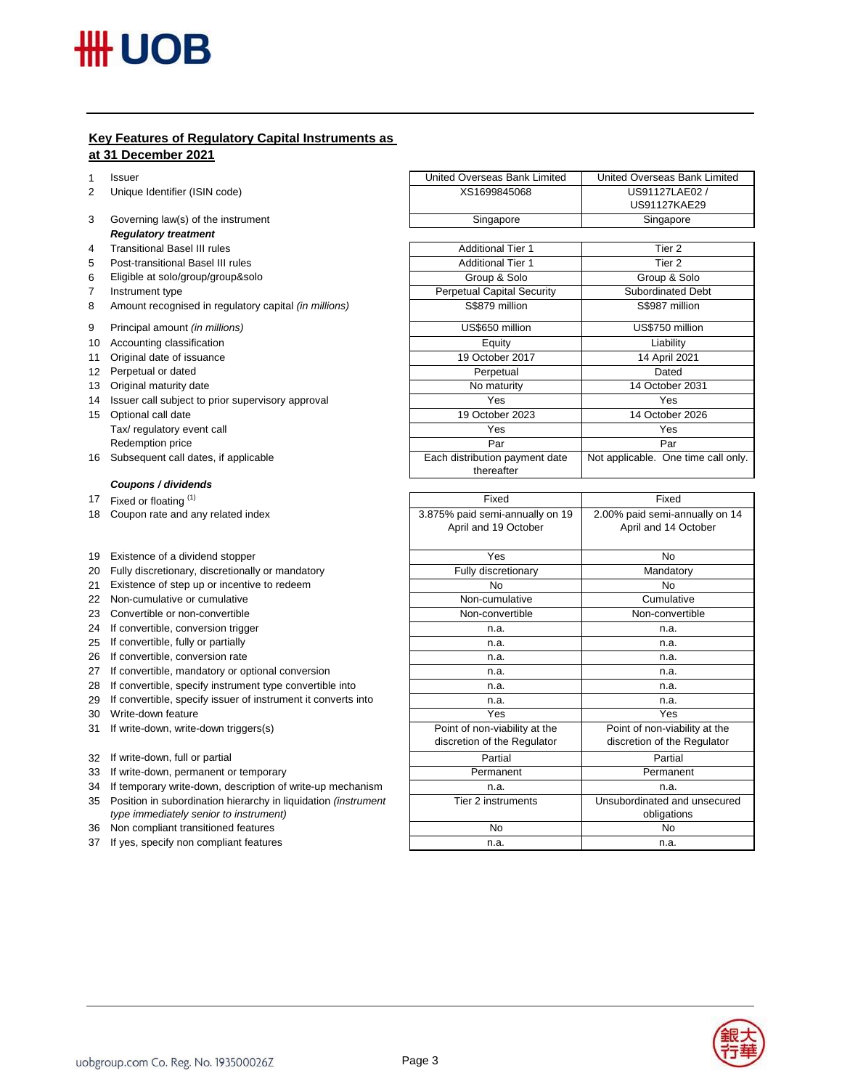# **Key Features of Regulatory Capital Instruments as at 31 December 2021**

1 Issuer

- 2 Unique Identifier (ISIN code)
- 3 Governing law(s) of the instrument *Regulatory treatment*
- 4 Transitional Basel III rules
- 5 Post-transitional Basel III rules
- 6 Eligible at solo/group/group&solo
- 7 Instrument type
- 8 Amount recognised in regulatory capital *(in millions)*
- 9 Principal amount *(in millions)*
- 10 Accounting classification
- 11 Original date of issuance
- 12 Perpetual or dated
- 13 Original maturity date
- 14 Issuer call subject to prior supervisory approval
- 15 Optional call date Tax/ regulatory event call Redemption price
- 16 Subsequent call dates, if applicable

## *Coupons / dividends*

- 18 Coupon rate and any related index
- 19 Existence of a dividend stopper
- 20 Fully discretionary, discretionally or mandatory
- 21 Existence of step up or incentive to redeem
- 22 Non-cumulative or cumulative
- 23 Convertible or non-convertible
- 24 If convertible, conversion trigger
- 25 If convertible, fully or partially
- 26 If convertible, conversion rate
- 27 If convertible, mandatory or optional conversion
- 28 If convertible, specify instrument type convertible into
- 29 If convertible, specify issuer of instrument it converts into
- 30 Write-down feature
- 31 If write-down, write-down triggers(s)
- 32 If write-down, full or partial
- 33 If write-down, permanent or temporary
- 34 If temporary write-down, description of write-up mechanism
- 35 Position in subordination hierarchy in liquidation *(instrument type immediately senior to instrument)*
- 36 Non compliant transitioned features
- 37 If yes, specify non compliant features

| United Overseas Bank Limited      | United Overseas Bank Limited        |  |
|-----------------------------------|-------------------------------------|--|
| XS1699845068                      | US91127LAE02 /                      |  |
|                                   | <b>US91127KAE29</b>                 |  |
| Singapore                         | Singapore                           |  |
|                                   |                                     |  |
| <b>Additional Tier 1</b>          | Tier <sub>2</sub>                   |  |
| <b>Additional Tier 1</b>          | Tier 2                              |  |
| Group & Solo                      | Group & Solo                        |  |
| <b>Perpetual Capital Security</b> | <b>Subordinated Debt</b>            |  |
| S\$879 million                    | S\$987 million                      |  |
| US\$650 million                   | US\$750 million                     |  |
| Equity                            | Liability                           |  |
| 19 October 2017                   | 14 April 2021                       |  |
| Perpetual                         | Dated                               |  |
| No maturity                       | 14 October 2031                     |  |
| Yes                               | Yes                                 |  |
| 19 October 2023                   | 14 October 2026                     |  |
| Yes                               | Yes                                 |  |
| Par                               | Par                                 |  |
| Each distribution payment date    | Not applicable. One time call only. |  |
| thereafter                        |                                     |  |
|                                   |                                     |  |
| Fixed                             | Fixed                               |  |
| 3.875% paid semi-annually on 19   | 2.00% paid semi-annually on 14      |  |
| April and 19 October              | April and 14 October                |  |
|                                   |                                     |  |

| $0.01070$ paid $0.0111$ annually $0.1110$<br>April and 19 October | $2.00\%$ paid softling integrity on the $-$<br>April and 14 October |
|-------------------------------------------------------------------|---------------------------------------------------------------------|
|                                                                   |                                                                     |
| Yes                                                               | No                                                                  |
| Fully discretionary                                               | Mandatory                                                           |
| No                                                                | No                                                                  |
| Non-cumulative                                                    | Cumulative                                                          |
| Non-convertible                                                   | Non-convertible                                                     |
| n.a.                                                              | n.a.                                                                |
| n.a.                                                              | n.a.                                                                |
| n.a.                                                              | n.a.                                                                |
| n.a.                                                              | n.a.                                                                |
| n.a.                                                              | n.a.                                                                |
| n.a.                                                              | n.a.                                                                |
| Yes                                                               | Yes                                                                 |
| Point of non-viability at the                                     | Point of non-viability at the                                       |
| discretion of the Regulator                                       | discretion of the Regulator                                         |
| Partial                                                           | Partial                                                             |
| Permanent                                                         | Permanent                                                           |
| n.a.                                                              | n.a.                                                                |
| Tier 2 instruments                                                | Unsubordinated and unsecured                                        |
|                                                                   | obligations                                                         |
| No                                                                | No                                                                  |
| n.a.                                                              | n.a.                                                                |

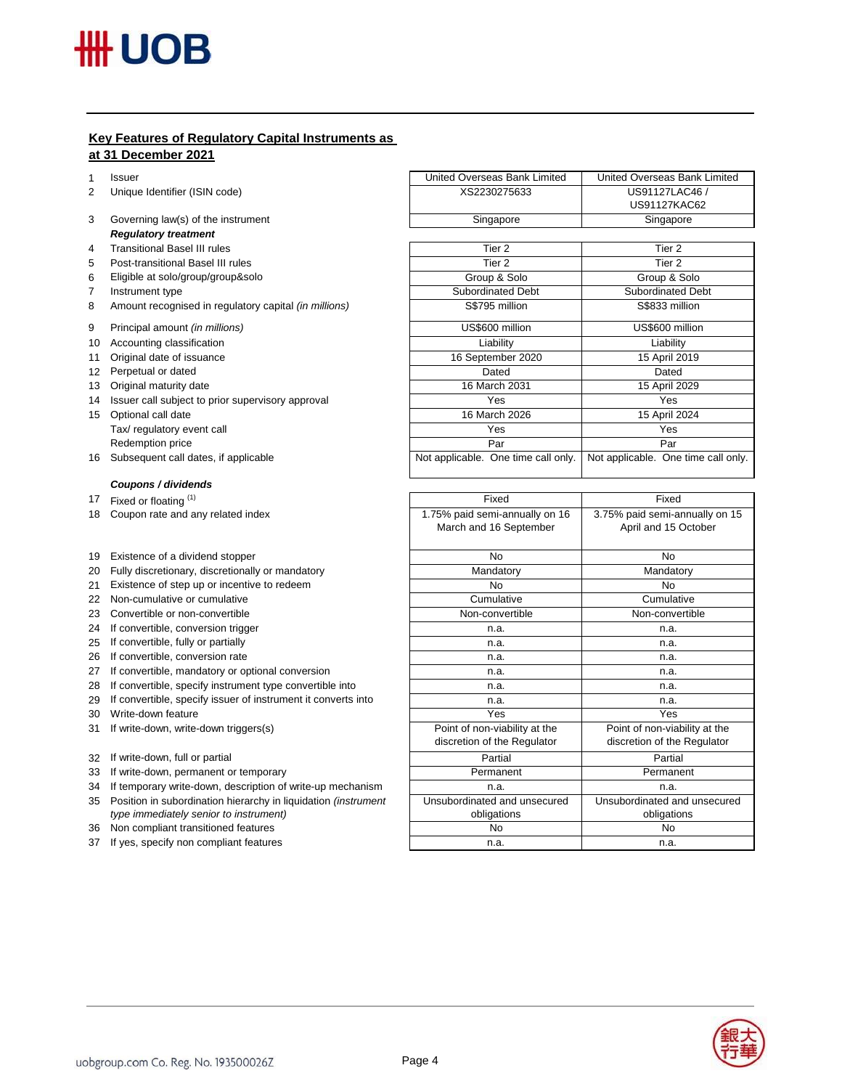# **Key Features of Regulatory Capital Instruments as at 31 December 2021**

1 Issuer

- 2 Unique Identifier (ISIN code)
- 3 Governing law(s) of the instrument *Regulatory treatment*
- 4 Transitional Basel III rules
- 5 Post-transitional Basel III rules
- 6 Eligible at solo/group/group&solo
- 7 Instrument type
- 8 Amount recognised in regulatory capital *(in millions)*
- 9 Principal amount *(in millions)*
- 10 Accounting classification
- 11 Original date of issuance
- 12 Perpetual or dated
- 13 Original maturity date
- 14 Issuer call subject to prior supervisory approval
- 15 Optional call date Tax/ regulatory event call Redemption price
- 16 Subsequent call dates, if applicable

## *Coupons / dividends*

- 18 Coupon rate and any related index
- 19 Existence of a dividend stopper
- 20 Fully discretionary, discretionally or mandatory
- 21 Existence of step up or incentive to redeem
- 22 Non-cumulative or cumulative
- 23 Convertible or non-convertible
- 24 If convertible, conversion trigger
- 25 If convertible, fully or partially
- 26 If convertible, conversion rate
- 27 If convertible, mandatory or optional conversion
- 28 If convertible, specify instrument type convertible into
- 29 If convertible, specify issuer of instrument it converts into
- 30 Write-down feature
- 31 If write-down, write-down triggers(s)
- 32 If write-down, full or partial
- 33 If write-down, permanent or temporary
- 34 If temporary write-down, description of write-up mechanism
- 35 Position in subordination hierarchy in liquidation *(instrument type immediately senior to instrument)*
- 36 Non compliant transitioned features
- 37 If yes, specify non compliant features

| United Overseas Bank Limited        | United Overseas Bank Limited        |  |
|-------------------------------------|-------------------------------------|--|
| XS2230275633                        | US91127LAC46 /                      |  |
|                                     | <b>US91127KAC62</b>                 |  |
| Singapore                           | Singapore                           |  |
|                                     |                                     |  |
| Tier <sub>2</sub>                   | Tier <sub>2</sub>                   |  |
| Tier <sub>2</sub>                   | Tier <sub>2</sub>                   |  |
| Group & Solo                        | Group & Solo                        |  |
| <b>Subordinated Debt</b>            | <b>Subordinated Debt</b>            |  |
| S\$795 million                      | S\$833 million                      |  |
| US\$600 million                     | US\$600 million                     |  |
| Liability                           | Liability                           |  |
| 16 September 2020                   | 15 April 2019                       |  |
| Dated                               | Dated                               |  |
| 16 March 2031                       | 15 April 2029                       |  |
| Yes                                 | Yes                                 |  |
| 16 March 2026                       | 15 April 2024                       |  |
| Yes                                 | Yes                                 |  |
| Par                                 | Par                                 |  |
| Not applicable. One time call only. | Not applicable. One time call only. |  |
|                                     |                                     |  |
| Fixed                               | Fixed                               |  |
| 1.75% paid semi-annually on 16      | 3.75% paid semi-annually on 15      |  |
| March and 16 September              | April and 15 October                |  |
| N <sub>0</sub>                      | <b>No</b>                           |  |
| Mandatory                           | Mandatory                           |  |
| No                                  | <b>No</b>                           |  |

| No.                           | No                            |
|-------------------------------|-------------------------------|
| Cumulative                    | Cumulative                    |
| Non-convertible               | Non-convertible               |
| n.a.                          | n.a.                          |
| n.a.                          | n.a.                          |
| n.a.                          | n.a.                          |
| n.a.                          | n.a.                          |
| n.a.                          | n.a.                          |
| n.a.                          | n.a.                          |
| Yes                           | Yes                           |
| Point of non-viability at the | Point of non-viability at the |
| discretion of the Regulator   | discretion of the Regulator   |
| Partial                       | Partial                       |
| Permanent                     | Permanent                     |
| n.a.                          | n.a.                          |
| Unsubordinated and unsecured  | Unsubordinated and unsecured  |
| obligations                   | obligations                   |
| No                            | No                            |
| n.a.                          | n.a.                          |
|                               |                               |

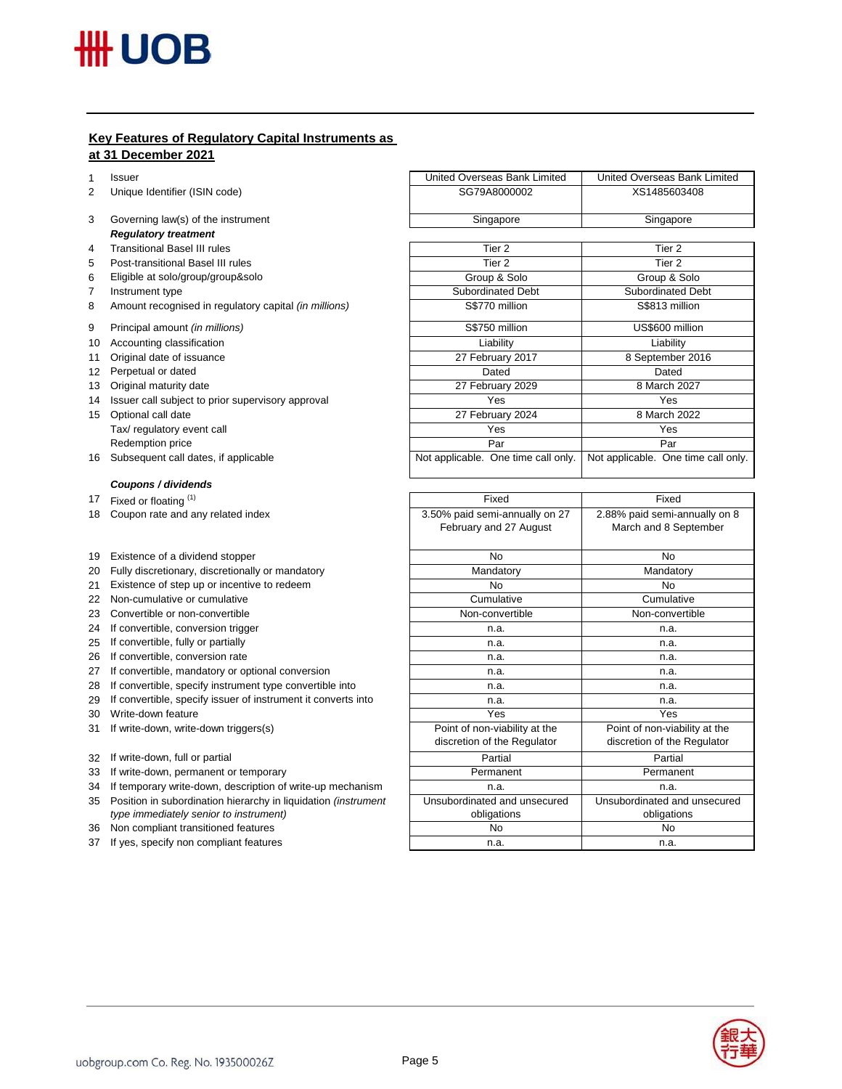# **Key Features of Regulatory Capital Instruments as at 31 December 2021**

1 Issuer

- 2 Unique Identifier (ISIN code)
- 3 Governing law(s) of the instrument *Regulatory treatment*
- 4 Transitional Basel III rules
- 5 Post-transitional Basel III rules
- 6 Eligible at solo/group/group&solo
- 7 Instrument type
- 8 Amount recognised in regulatory capital *(in millions)*
- 9 Principal amount *(in millions)*
- 10 Accounting classification
- 11 Original date of issuance
- 12 Perpetual or dated
- 13 Original maturity date
- 14 Issuer call subject to prior supervisory approval
- 15 Optional call date Tax/ regulatory event call Redemption price
- 16 Subsequent call dates, if applicable

## *Coupons / dividends*

- 18 Coupon rate and any related index
- 19 Existence of a dividend stopper
- 20 Fully discretionary, discretionally or mandatory
- 21 Existence of step up or incentive to redeem
- 22 Non-cumulative or cumulative
- 23 Convertible or non-convertible
- 24 If convertible, conversion trigger
- 25 If convertible, fully or partially
- 26 If convertible, conversion rate
- 27 If convertible, mandatory or optional conversion
- 28 If convertible, specify instrument type convertible into
- 29 If convertible, specify issuer of instrument it converts into
- 30 Write-down feature
- 31 If write-down, write-down triggers(s)
- 32 If write-down, full or partial
- 33 If write-down, permanent or temporary
- 34 If temporary write-down, description of write-up mechanism
- 35 Position in subordination hierarchy in liquidation *(instrument type immediately senior to instrument)*
- 36 Non compliant transitioned features
- 37 If yes, specify non compliant features

| United Overseas Bank Limited        | United Overseas Bank Limited        |  |
|-------------------------------------|-------------------------------------|--|
| SG79A8000002                        | XS1485603408                        |  |
| Singapore                           | Singapore                           |  |
|                                     |                                     |  |
| Tier <sub>2</sub>                   | Tier <sub>2</sub>                   |  |
| Tier <sub>2</sub>                   | Tier <sub>2</sub>                   |  |
| Group & Solo                        | Group & Solo                        |  |
| <b>Subordinated Debt</b>            | <b>Subordinated Debt</b>            |  |
| S\$770 million                      | S\$813 million                      |  |
| S\$750 million                      | US\$600 million                     |  |
| Liability                           | Liability                           |  |
| 27 February 2017                    | 8 September 2016                    |  |
| Dated                               | Dated                               |  |
| 27 February 2029                    | 8 March 2027                        |  |
| Yes                                 | Yes                                 |  |
| 27 February 2024                    | 8 March 2022                        |  |
| Yes                                 | Yes                                 |  |
| Par                                 | Par                                 |  |
| Not applicable. One time call only. | Not applicable. One time call only. |  |

| Fixed                                                        | Fixed                                                        |  |
|--------------------------------------------------------------|--------------------------------------------------------------|--|
| 3.50% paid semi-annually on 27<br>February and 27 August     | 2.88% paid semi-annually on 8<br>March and 8 September       |  |
| No                                                           | N <sub>o</sub>                                               |  |
| Mandatory                                                    | Mandatory                                                    |  |
| No                                                           | No                                                           |  |
| Cumulative                                                   | Cumulative                                                   |  |
| Non-convertible                                              | Non-convertible                                              |  |
| n.a.                                                         | n.a.                                                         |  |
| n.a.                                                         | n.a.                                                         |  |
| n.a.                                                         | n.a.                                                         |  |
| n.a.                                                         | n.a.                                                         |  |
| n.a.                                                         | n.a.                                                         |  |
| n.a.                                                         | n.a.                                                         |  |
| Yes                                                          | Yes                                                          |  |
| Point of non-viability at the<br>discretion of the Regulator | Point of non-viability at the<br>discretion of the Regulator |  |
| Partial                                                      | Partial                                                      |  |
| Permanent                                                    | Permanent                                                    |  |
| n.a.                                                         | n.a.                                                         |  |
| Unsubordinated and unsecured<br>obligations                  | Unsubordinated and unsecured<br>obligations                  |  |
| No                                                           | No                                                           |  |
| n.a.                                                         | n.a.                                                         |  |